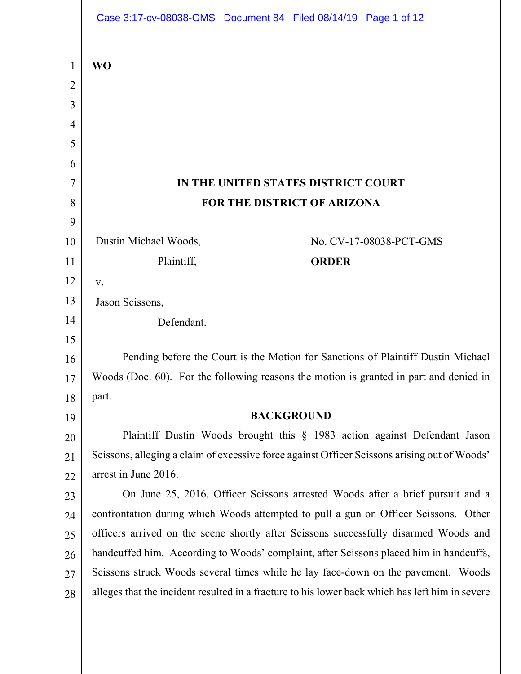|                | Case 3:17-cv-08038-GMS  Document 84  Filed 08/14/19  Page 1 of 12                                                                                                                    |              |                         |
|----------------|--------------------------------------------------------------------------------------------------------------------------------------------------------------------------------------|--------------|-------------------------|
| $\mathbf{1}$   | <b>WO</b>                                                                                                                                                                            |              |                         |
| $\overline{2}$ |                                                                                                                                                                                      |              |                         |
| 3              |                                                                                                                                                                                      |              |                         |
| $\overline{4}$ |                                                                                                                                                                                      |              |                         |
| 5              |                                                                                                                                                                                      |              |                         |
| 6              |                                                                                                                                                                                      |              |                         |
| 7              | IN THE UNITED STATES DISTRICT COURT                                                                                                                                                  |              |                         |
| 8              | FOR THE DISTRICT OF ARIZONA                                                                                                                                                          |              |                         |
| 9              |                                                                                                                                                                                      |              |                         |
| 10             | Dustin Michael Woods,                                                                                                                                                                |              | No. CV-17-08038-PCT-GMS |
| 11             | Plaintiff,                                                                                                                                                                           | <b>ORDER</b> |                         |
| 12             | V.                                                                                                                                                                                   |              |                         |
| 13             | Jason Scissons,                                                                                                                                                                      |              |                         |
| 14             | Defendant.                                                                                                                                                                           |              |                         |
| 15             |                                                                                                                                                                                      |              |                         |
| 16             | Pending before the Court is the Motion for Sanctions of Plaintiff Dustin Michael                                                                                                     |              |                         |
| 17             | Woods (Doc. 60). For the following reasons the motion is granted in part and denied in                                                                                               |              |                         |
| 18             | part.                                                                                                                                                                                |              |                         |
| 19             | <b>BACKGROUND</b>                                                                                                                                                                    |              |                         |
| 20             | Plaintiff Dustin Woods brought this § 1983 action against Defendant Jason                                                                                                            |              |                         |
| 21             | Scissons, alleging a claim of excessive force against Officer Scissons arising out of Woods'                                                                                         |              |                         |
| 22             | arrest in June 2016.                                                                                                                                                                 |              |                         |
| 23             | On June 25, 2016, Officer Scissons arrested Woods after a brief pursuit and a                                                                                                        |              |                         |
| 24             | confrontation during which Woods attempted to pull a gun on Officer Scissons. Other                                                                                                  |              |                         |
| 25             | officers arrived on the scene shortly after Scissons successfully disarmed Woods and                                                                                                 |              |                         |
| 26             | handcuffed him. According to Woods' complaint, after Scissons placed him in handcuffs,                                                                                               |              |                         |
| 27             | Scissons struck Woods several times while he lay face-down on the pavement. Woods<br>alleges that the incident resulted in a fracture to his lower back which has left him in severe |              |                         |
| 28             |                                                                                                                                                                                      |              |                         |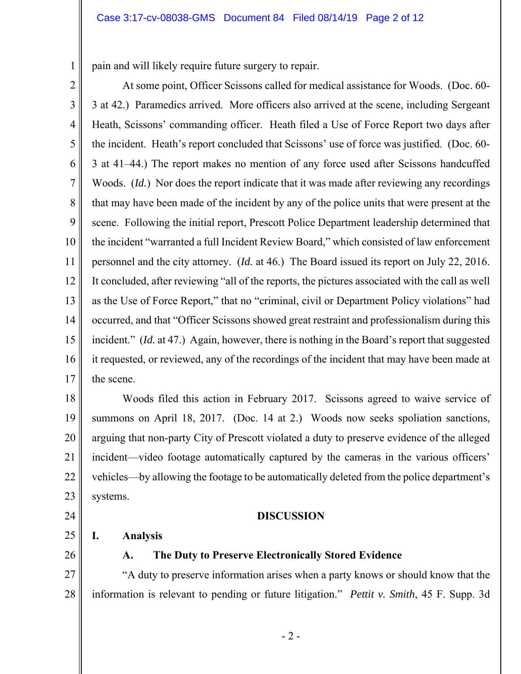pain and will likely require future surgery to repair.

2

1

3 4 5 6 7 8 9 10 11 12 13 14 15 16 17 At some point, Officer Scissons called for medical assistance for Woods. (Doc. 60- 3 at 42.) Paramedics arrived. More officers also arrived at the scene, including Sergeant Heath, Scissons' commanding officer. Heath filed a Use of Force Report two days after the incident. Heath's report concluded that Scissons' use of force was justified. (Doc. 60- 3 at 41–44.) The report makes no mention of any force used after Scissons handcuffed Woods. *(Id.)* Nor does the report indicate that it was made after reviewing any recordings that may have been made of the incident by any of the police units that were present at the scene. Following the initial report, Prescott Police Department leadership determined that the incident "warranted a full Incident Review Board," which consisted of law enforcement personnel and the city attorney. (*Id.* at 46.) The Board issued its report on July 22, 2016. It concluded, after reviewing "all of the reports, the pictures associated with the call as well as the Use of Force Report," that no "criminal, civil or Department Policy violations" had occurred, and that "Officer Scissons showed great restraint and professionalism during this incident." *(Id.* at 47.) Again, however, there is nothing in the Board's report that suggested it requested, or reviewed, any of the recordings of the incident that may have been made at the scene.

18 19 20 21 22 23 Woods filed this action in February 2017. Scissons agreed to waive service of summons on April 18, 2017. (Doc. 14 at 2.) Woods now seeks spoliation sanctions, arguing that non-party City of Prescott violated a duty to preserve evidence of the alleged incident—video footage automatically captured by the cameras in the various officers' vehicles—by allowing the footage to be automatically deleted from the police department's systems.

### **DISCUSSION**

**I. Analysis** 

26

24

25

## **A. The Duty to Preserve Electronically Stored Evidence**

27 28 "A duty to preserve information arises when a party knows or should know that the information is relevant to pending or future litigation." *Pettit v. Smith*, 45 F. Supp. 3d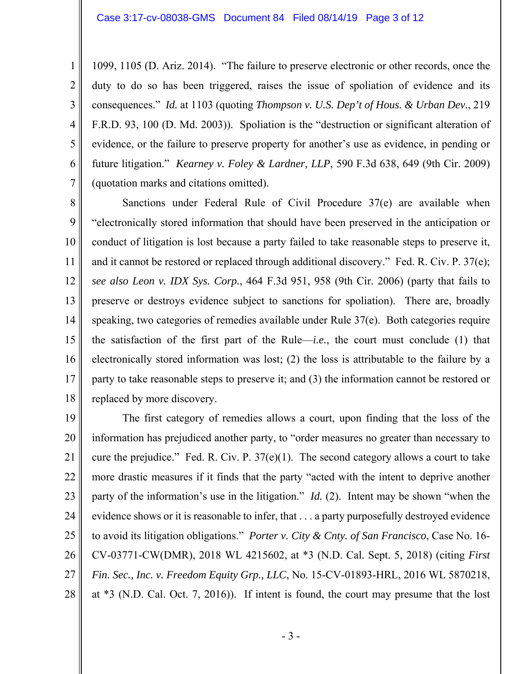1099, 1105 (D. Ariz. 2014). "The failure to preserve electronic or other records, once the duty to do so has been triggered, raises the issue of spoliation of evidence and its consequences." *Id.* at 1103 (quoting *Thompson v. U.S. Dep't of Hous. & Urban Dev.*, 219 F.R.D. 93, 100 (D. Md. 2003)). Spoliation is the "destruction or significant alteration of evidence, or the failure to preserve property for another's use as evidence, in pending or future litigation." *Kearney v. Foley & Lardner, LLP*, 590 F.3d 638, 649 (9th Cir. 2009) (quotation marks and citations omitted).

8 9 10 11 12 13 14 15 16 17 18 Sanctions under Federal Rule of Civil Procedure 37(e) are available when "electronically stored information that should have been preserved in the anticipation or conduct of litigation is lost because a party failed to take reasonable steps to preserve it, and it cannot be restored or replaced through additional discovery." Fed. R. Civ. P. 37(e); *see also Leon v. IDX Sys. Corp.*, 464 F.3d 951, 958 (9th Cir. 2006) (party that fails to preserve or destroys evidence subject to sanctions for spoliation). There are, broadly speaking, two categories of remedies available under Rule 37(e). Both categories require the satisfaction of the first part of the Rule—*i.e.*, the court must conclude (1) that electronically stored information was lost; (2) the loss is attributable to the failure by a party to take reasonable steps to preserve it; and (3) the information cannot be restored or replaced by more discovery.

19 20 21 22 23 24 25 26 27 28 The first category of remedies allows a court, upon finding that the loss of the information has prejudiced another party, to "order measures no greater than necessary to cure the prejudice." Fed. R. Civ. P.  $37(e)(1)$ . The second category allows a court to take more drastic measures if it finds that the party "acted with the intent to deprive another party of the information's use in the litigation." *Id.* (2). Intent may be shown "when the evidence shows or it is reasonable to infer, that . . . a party purposefully destroyed evidence to avoid its litigation obligations." *Porter v. City & Cnty. of San Francisco*, Case No. 16- CV-03771-CW(DMR), 2018 WL 4215602, at \*3 (N.D. Cal. Sept. 5, 2018) (citing *First Fin. Sec., Inc. v. Freedom Equity Grp., LLC*, No. 15-CV-01893-HRL, 2016 WL 5870218, at \*3 (N.D. Cal. Oct. 7, 2016)). If intent is found, the court may presume that the lost

1

2

3

4

5

6

7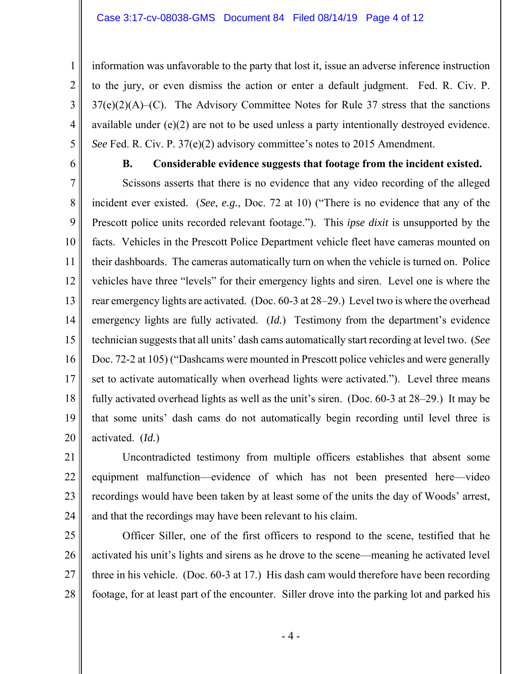#### Case 3:17-cv-08038-GMS Document 84 Filed 08/14/19 Page 4 of 12

information was unfavorable to the party that lost it, issue an adverse inference instruction to the jury, or even dismiss the action or enter a default judgment. Fed. R. Civ. P.  $37(e)(2)(A)$ –(C). The Advisory Committee Notes for Rule 37 stress that the sanctions available under (e)(2) are not to be used unless a party intentionally destroyed evidence. *See* Fed. R. Civ. P. 37(e)(2) advisory committee's notes to 2015 Amendment.

6

1

2

3

4

5

## **B. Considerable evidence suggests that footage from the incident existed.**

7 8 9 10 11 12 13 14 15 16 17 18 19 20 Scissons asserts that there is no evidence that any video recording of the alleged incident ever existed. (*See*, *e.g.*, Doc. 72 at 10) ("There is no evidence that any of the Prescott police units recorded relevant footage."). This *ipse dixit* is unsupported by the facts. Vehicles in the Prescott Police Department vehicle fleet have cameras mounted on their dashboards. The cameras automatically turn on when the vehicle is turned on. Police vehicles have three "levels" for their emergency lights and siren. Level one is where the rear emergency lights are activated. (Doc. 60-3 at 28–29.) Level two is where the overhead emergency lights are fully activated. (*Id.*) Testimony from the department's evidence technician suggests that all units' dash cams automatically start recording at level two. (*See* Doc. 72-2 at 105) ("Dashcams were mounted in Prescott police vehicles and were generally set to activate automatically when overhead lights were activated."). Level three means fully activated overhead lights as well as the unit's siren. (Doc. 60-3 at 28–29.) It may be that some units' dash cams do not automatically begin recording until level three is activated. (*Id.*)

21 22 23 24 Uncontradicted testimony from multiple officers establishes that absent some equipment malfunction—evidence of which has not been presented here—video recordings would have been taken by at least some of the units the day of Woods' arrest, and that the recordings may have been relevant to his claim.

25 26 27 28 Officer Siller, one of the first officers to respond to the scene, testified that he activated his unit's lights and sirens as he drove to the scene—meaning he activated level three in his vehicle. (Doc. 60-3 at 17.) His dash cam would therefore have been recording footage, for at least part of the encounter. Siller drove into the parking lot and parked his

- 4 -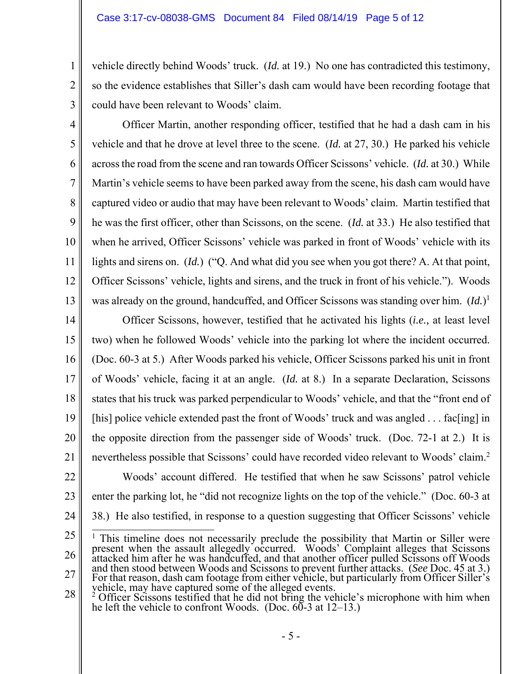vehicle directly behind Woods' truck. (*Id.* at 19.) No one has contradicted this testimony, so the evidence establishes that Siller's dash cam would have been recording footage that could have been relevant to Woods' claim.

3 4

5

6

7

8

9

10

11

12

13

1

2

 Officer Martin, another responding officer, testified that he had a dash cam in his vehicle and that he drove at level three to the scene. (*Id.* at 27, 30.) He parked his vehicle across the road from the scene and ran towards Officer Scissons' vehicle. (*Id.* at 30.) While Martin's vehicle seems to have been parked away from the scene, his dash cam would have captured video or audio that may have been relevant to Woods' claim. Martin testified that he was the first officer, other than Scissons, on the scene. (*Id.* at 33.) He also testified that when he arrived, Officer Scissons' vehicle was parked in front of Woods' vehicle with its lights and sirens on. *(Id.)* ("Q. And what did you see when you got there? A. At that point, Officer Scissons' vehicle, lights and sirens, and the truck in front of his vehicle."). Woods was already on the ground, handcuffed, and Officer Scissons was standing over him. (*Id.*) 1

14 15 16 17 18 19 20 21 22 23 24 Officer Scissons, however, testified that he activated his lights (*i.e.,* at least level two) when he followed Woods' vehicle into the parking lot where the incident occurred. (Doc. 60-3 at 5.) After Woods parked his vehicle, Officer Scissons parked his unit in front of Woods' vehicle, facing it at an angle. (*Id.* at 8.) In a separate Declaration, Scissons states that his truck was parked perpendicular to Woods' vehicle, and that the "front end of [his] police vehicle extended past the front of Woods' truck and was angled . . . fac[ing] in the opposite direction from the passenger side of Woods' truck. (Doc. 72-1 at 2.) It is nevertheless possible that Scissons' could have recorded video relevant to Woods' claim.2 Woods' account differed. He testified that when he saw Scissons' patrol vehicle enter the parking lot, he "did not recognize lights on the top of the vehicle." (Doc. 60-3 at 38.) He also testified, in response to a question suggesting that Officer Scissons' vehicle

<sup>25</sup>  26 27 <sup>1</sup> This timeline does not necessarily preclude the possibility that Martin or Siller were present when the assault allegedly occurred. Woods' Complaint alleges that Scissons<br>attacked him after he was handcuffed, and that another officer pulled Scissons off Woods<br>and then stood between Woods and Scissons to prev

<sup>28</sup>  <sup>2</sup> Officer Scissons testified that he did not bring the vehicle's microphone with him when he left the vehicle to confront Woods. (Doc. 60-3 at  $12-13$ .)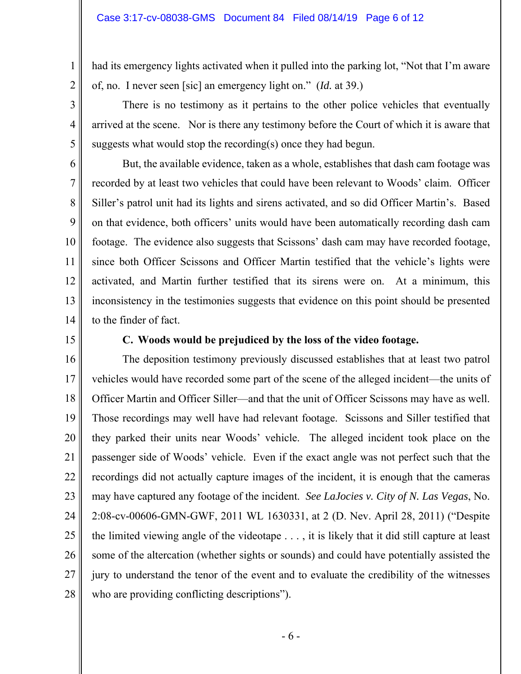had its emergency lights activated when it pulled into the parking lot, "Not that I'm aware of, no. I never seen [sic] an emergency light on." (*Id.* at 39.)

There is no testimony as it pertains to the other police vehicles that eventually arrived at the scene. Nor is there any testimony before the Court of which it is aware that suggests what would stop the recording(s) once they had begun.

6 7 8 12 13 But, the available evidence, taken as a whole, establishes that dash cam footage was recorded by at least two vehicles that could have been relevant to Woods' claim. Officer Siller's patrol unit had its lights and sirens activated, and so did Officer Martin's. Based on that evidence, both officers' units would have been automatically recording dash cam footage. The evidence also suggests that Scissons' dash cam may have recorded footage, since both Officer Scissons and Officer Martin testified that the vehicle's lights were activated, and Martin further testified that its sirens were on. At a minimum, this inconsistency in the testimonies suggests that evidence on this point should be presented to the finder of fact.

14 15

1

2

3

4

5

9

10

11

# **C. Woods would be prejudiced by the loss of the video footage.**

16 17 18 19 20 21 22 23 24 25 26 27 28 The deposition testimony previously discussed establishes that at least two patrol vehicles would have recorded some part of the scene of the alleged incident—the units of Officer Martin and Officer Siller—and that the unit of Officer Scissons may have as well. Those recordings may well have had relevant footage. Scissons and Siller testified that they parked their units near Woods' vehicle. The alleged incident took place on the passenger side of Woods' vehicle. Even if the exact angle was not perfect such that the recordings did not actually capture images of the incident, it is enough that the cameras may have captured any footage of the incident. *See LaJocies v. City of N. Las Vegas*, No. 2:08-cv-00606-GMN-GWF, 2011 WL 1630331, at 2 (D. Nev. April 28, 2011) ("Despite the limited viewing angle of the videotape . . . , it is likely that it did still capture at least some of the altercation (whether sights or sounds) and could have potentially assisted the jury to understand the tenor of the event and to evaluate the credibility of the witnesses who are providing conflicting descriptions").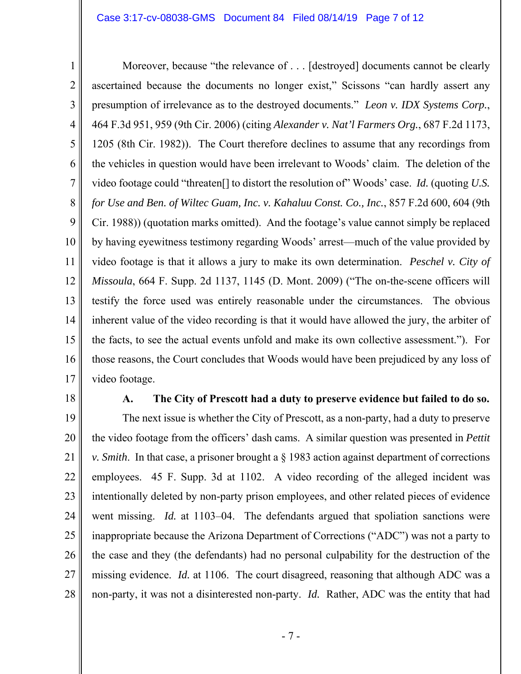### Case 3:17-cv-08038-GMS Document 84 Filed 08/14/19 Page 7 of 12

1 2 3 4 5 6 7 8 9 10 11 12 13 14 15 16 17 Moreover, because "the relevance of . . . [destroyed] documents cannot be clearly ascertained because the documents no longer exist," Scissons "can hardly assert any presumption of irrelevance as to the destroyed documents." *Leon v. IDX Systems Corp.*, 464 F.3d 951, 959 (9th Cir. 2006) (citing *Alexander v. Nat'l Farmers Org.*, 687 F.2d 1173, 1205 (8th Cir. 1982)). The Court therefore declines to assume that any recordings from the vehicles in question would have been irrelevant to Woods' claim. The deletion of the video footage could "threaten[] to distort the resolution of" Woods' case. *Id.* (quoting *U.S. for Use and Ben. of Wiltec Guam, Inc. v. Kahaluu Const. Co., Inc.*, 857 F.2d 600, 604 (9th Cir. 1988)) (quotation marks omitted). And the footage's value cannot simply be replaced by having eyewitness testimony regarding Woods' arrest—much of the value provided by video footage is that it allows a jury to make its own determination. *Peschel v. City of Missoula*, 664 F. Supp. 2d 1137, 1145 (D. Mont. 2009) ("The on-the-scene officers will testify the force used was entirely reasonable under the circumstances. The obvious inherent value of the video recording is that it would have allowed the jury, the arbiter of the facts, to see the actual events unfold and make its own collective assessment."). For those reasons, the Court concludes that Woods would have been prejudiced by any loss of video footage.

18

### **A. The City of Prescott had a duty to preserve evidence but failed to do so.**

19 20 21 22 23 24 25 26 27 28 The next issue is whether the City of Prescott, as a non-party, had a duty to preserve the video footage from the officers' dash cams. A similar question was presented in *Pettit v. Smith*. In that case, a prisoner brought a § 1983 action against department of corrections employees. 45 F. Supp. 3d at 1102. A video recording of the alleged incident was intentionally deleted by non-party prison employees, and other related pieces of evidence went missing. *Id.* at 1103–04. The defendants argued that spoliation sanctions were inappropriate because the Arizona Department of Corrections ("ADC") was not a party to the case and they (the defendants) had no personal culpability for the destruction of the missing evidence. *Id.* at 1106. The court disagreed, reasoning that although ADC was a non-party, it was not a disinterested non-party. *Id.* Rather, ADC was the entity that had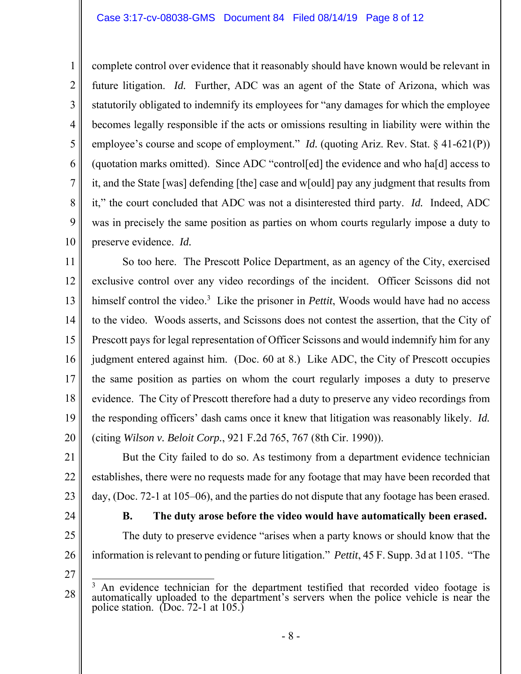2 4 5 6 7 complete control over evidence that it reasonably should have known would be relevant in future litigation. *Id.* Further, ADC was an agent of the State of Arizona, which was statutorily obligated to indemnify its employees for "any damages for which the employee becomes legally responsible if the acts or omissions resulting in liability were within the employee's course and scope of employment." *Id.* (quoting Ariz. Rev. Stat. § 41-621(P)) (quotation marks omitted). Since ADC "control[ed] the evidence and who ha[d] access to it, and the State [was] defending [the] case and w[ould] pay any judgment that results from it," the court concluded that ADC was not a disinterested third party. *Id.* Indeed, ADC was in precisely the same position as parties on whom courts regularly impose a duty to preserve evidence. *Id.*

11 12 13 14 15 16 17 18 19 20 So too here. The Prescott Police Department, as an agency of the City, exercised exclusive control over any video recordings of the incident. Officer Scissons did not himself control the video.<sup>3</sup> Like the prisoner in *Pettit*, Woods would have had no access to the video. Woods asserts, and Scissons does not contest the assertion, that the City of Prescott pays for legal representation of Officer Scissons and would indemnify him for any judgment entered against him. (Doc. 60 at 8.) Like ADC, the City of Prescott occupies the same position as parties on whom the court regularly imposes a duty to preserve evidence. The City of Prescott therefore had a duty to preserve any video recordings from the responding officers' dash cams once it knew that litigation was reasonably likely. *Id.* (citing *Wilson v. Beloit Corp.*, 921 F.2d 765, 767 (8th Cir. 1990)).

21 22 23 But the City failed to do so. As testimony from a department evidence technician establishes, there were no requests made for any footage that may have been recorded that day, (Doc. 72-1 at 105–06), and the parties do not dispute that any footage has been erased.

24

1

3

8

9

10

25

**B. The duty arose before the video would have automatically been erased.** 

26 The duty to preserve evidence "arises when a party knows or should know that the information is relevant to pending or future litigation." *Pettit*, 45 F. Supp. 3d at 1105. "The

27

<sup>28</sup>   $\overline{a}$ <sup>3</sup> An evidence technician for the department testified that recorded video footage is automatically uploaded to the department's servers when the police vehicle is near the police station. (Doc. 72-1 at 105.)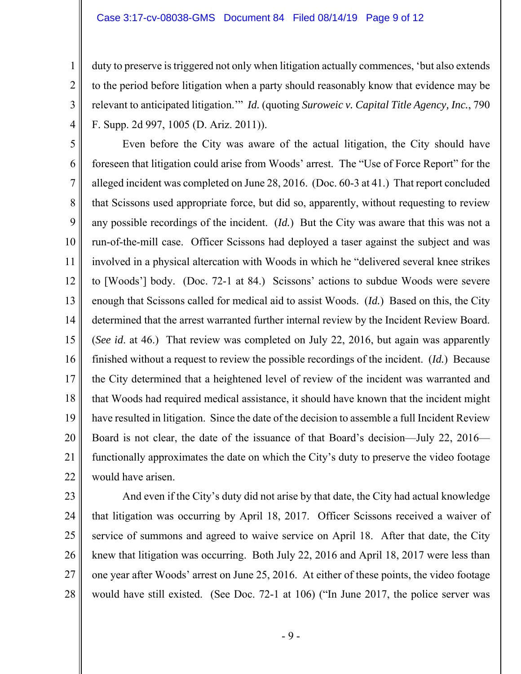#### Case 3:17-cv-08038-GMS Document 84 Filed 08/14/19 Page 9 of 12

duty to preserve is triggered not only when litigation actually commences, 'but also extends to the period before litigation when a party should reasonably know that evidence may be relevant to anticipated litigation.'" *Id.* (quoting *Suroweic v. Capital Title Agency, Inc.*, 790 F. Supp. 2d 997, 1005 (D. Ariz. 2011)).

5 6 7 8 9 10 11 12 13 14 15 16 17 18 19 20 21 22 Even before the City was aware of the actual litigation, the City should have foreseen that litigation could arise from Woods' arrest. The "Use of Force Report" for the alleged incident was completed on June 28, 2016. (Doc. 60-3 at 41.) That report concluded that Scissons used appropriate force, but did so, apparently, without requesting to review any possible recordings of the incident. (*Id.*) But the City was aware that this was not a run-of-the-mill case. Officer Scissons had deployed a taser against the subject and was involved in a physical altercation with Woods in which he "delivered several knee strikes to [Woods'] body. (Doc. 72-1 at 84.) Scissons' actions to subdue Woods were severe enough that Scissons called for medical aid to assist Woods. (*Id.*) Based on this, the City determined that the arrest warranted further internal review by the Incident Review Board. (*See id*. at 46.) That review was completed on July 22, 2016, but again was apparently finished without a request to review the possible recordings of the incident. (*Id.*) Because the City determined that a heightened level of review of the incident was warranted and that Woods had required medical assistance, it should have known that the incident might have resulted in litigation. Since the date of the decision to assemble a full Incident Review Board is not clear, the date of the issuance of that Board's decision—July 22, 2016 functionally approximates the date on which the City's duty to preserve the video footage would have arisen.

23

1

2

3

4

24

25 26 27 28 And even if the City's duty did not arise by that date, the City had actual knowledge that litigation was occurring by April 18, 2017. Officer Scissons received a waiver of service of summons and agreed to waive service on April 18. After that date, the City knew that litigation was occurring. Both July 22, 2016 and April 18, 2017 were less than one year after Woods' arrest on June 25, 2016. At either of these points, the video footage would have still existed. (See Doc. 72-1 at 106) ("In June 2017, the police server was

- 9 -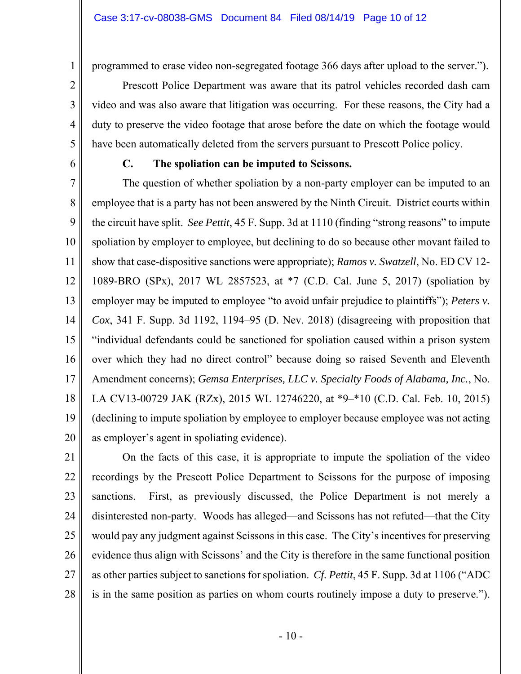programmed to erase video non-segregated footage 366 days after upload to the server.").

video and was also aware that litigation was occurring. For these reasons, the City had a

duty to preserve the video footage that arose before the date on which the footage would

have been automatically deleted from the servers pursuant to Prescott Police policy.

Prescott Police Department was aware that its patrol vehicles recorded dash cam

2 3 4

1

6

5

# **C. The spoliation can be imputed to Scissons.**

7 8 9 10 11 12 13 14 15 16 17 18 19 20 The question of whether spoliation by a non-party employer can be imputed to an employee that is a party has not been answered by the Ninth Circuit. District courts within the circuit have split. *See Pettit*, 45 F. Supp. 3d at 1110 (finding "strong reasons" to impute spoliation by employer to employee, but declining to do so because other movant failed to show that case-dispositive sanctions were appropriate); *Ramos v. Swatzell*, No. ED CV 12- 1089-BRO (SPx), 2017 WL 2857523, at \*7 (C.D. Cal. June 5, 2017) (spoliation by employer may be imputed to employee "to avoid unfair prejudice to plaintiffs"); *Peters v. Cox*, 341 F. Supp. 3d 1192, 1194–95 (D. Nev. 2018) (disagreeing with proposition that "individual defendants could be sanctioned for spoliation caused within a prison system over which they had no direct control" because doing so raised Seventh and Eleventh Amendment concerns); *Gemsa Enterprises, LLC v. Specialty Foods of Alabama, Inc.*, No. LA CV13-00729 JAK (RZx), 2015 WL 12746220, at \*9–\*10 (C.D. Cal. Feb. 10, 2015) (declining to impute spoliation by employee to employer because employee was not acting as employer's agent in spoliating evidence).

21 22 23 24 25 26 27 28 On the facts of this case, it is appropriate to impute the spoliation of the video recordings by the Prescott Police Department to Scissons for the purpose of imposing sanctions. First, as previously discussed, the Police Department is not merely a disinterested non-party. Woods has alleged—and Scissons has not refuted—that the City would pay any judgment against Scissons in this case. The City's incentives for preserving evidence thus align with Scissons' and the City is therefore in the same functional position as other parties subject to sanctions for spoliation. *Cf. Pettit*, 45 F. Supp. 3d at 1106 ("ADC is in the same position as parties on whom courts routinely impose a duty to preserve.").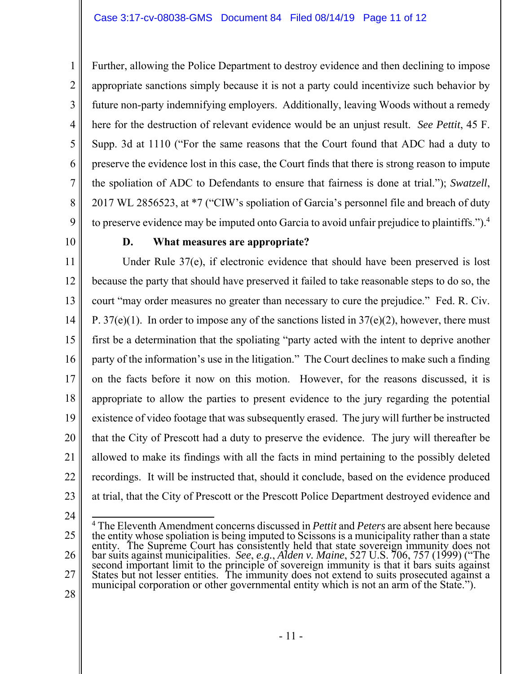Further, allowing the Police Department to destroy evidence and then declining to impose appropriate sanctions simply because it is not a party could incentivize such behavior by future non-party indemnifying employers. Additionally, leaving Woods without a remedy here for the destruction of relevant evidence would be an unjust result. *See Pettit*, 45 F. Supp. 3d at 1110 ("For the same reasons that the Court found that ADC had a duty to preserve the evidence lost in this case, the Court finds that there is strong reason to impute the spoliation of ADC to Defendants to ensure that fairness is done at trial."); *Swatzell*, 2017 WL 2856523, at \*7 ("CIW's spoliation of Garcia's personnel file and breach of duty to preserve evidence may be imputed onto Garcia to avoid unfair prejudice to plaintiffs.").<sup>4</sup>

9 10

1

2

3

4

5

6

7

8

## **D. What measures are appropriate?**

11 12 13 14 15 16 17 18 19 20 21 22 23 Under Rule 37(e), if electronic evidence that should have been preserved is lost because the party that should have preserved it failed to take reasonable steps to do so, the court "may order measures no greater than necessary to cure the prejudice." Fed. R. Civ. P.  $37(e)(1)$ . In order to impose any of the sanctions listed in  $37(e)(2)$ , however, there must first be a determination that the spoliating "party acted with the intent to deprive another party of the information's use in the litigation." The Court declines to make such a finding on the facts before it now on this motion. However, for the reasons discussed, it is appropriate to allow the parties to present evidence to the jury regarding the potential existence of video footage that was subsequently erased. The jury will further be instructed that the City of Prescott had a duty to preserve the evidence. The jury will thereafter be allowed to make its findings with all the facts in mind pertaining to the possibly deleted recordings. It will be instructed that, should it conclude, based on the evidence produced at trial, that the City of Prescott or the Prescott Police Department destroyed evidence and

24

25 26 27 4 The Eleventh Amendment concerns discussed in *Pettit* and *Peters* are absent here because The Eleventh Amendment concerns discussed in Pettu and Peters are absent here because<br>the entity whose spoliation is being imputed to Scissons is a municipality rather than a state<br>entity. The Supreme Court has consistentl

28